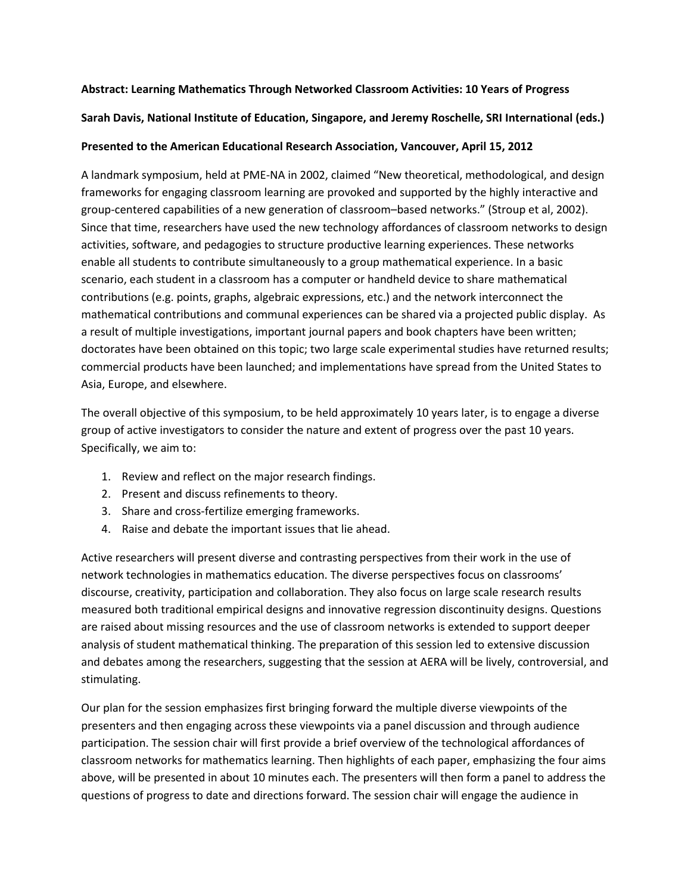# **Abstract: Learning Mathematics Through Networked Classroom Activities: 10 Years of Progress**

# **Sarah Davis, National Institute of Education, Singapore, and Jeremy Roschelle, SRI International (eds.)**

# **Presented to the American Educational Research Association, Vancouver, April 15, 2012**

A landmark symposium, held at PME-NA in 2002, claimed "New theoretical, methodological, and design frameworks for engaging classroom learning are provoked and supported by the highly interactive and group-centered capabilities of a new generation of classroom–based networks." (Stroup et al, 2002). Since that time, researchers have used the new technology affordances of classroom networks to design activities, software, and pedagogies to structure productive learning experiences. These networks enable all students to contribute simultaneously to a group mathematical experience. In a basic scenario, each student in a classroom has a computer or handheld device to share mathematical contributions (e.g. points, graphs, algebraic expressions, etc.) and the network interconnect the mathematical contributions and communal experiences can be shared via a projected public display. As a result of multiple investigations, important journal papers and book chapters have been written; doctorates have been obtained on this topic; two large scale experimental studies have returned results; commercial products have been launched; and implementations have spread from the United States to Asia, Europe, and elsewhere.

The overall objective of this symposium, to be held approximately 10 years later, is to engage a diverse group of active investigators to consider the nature and extent of progress over the past 10 years. Specifically, we aim to:

- 1. Review and reflect on the major research findings.
- 2. Present and discuss refinements to theory.
- 3. Share and cross-fertilize emerging frameworks.
- 4. Raise and debate the important issues that lie ahead.

Active researchers will present diverse and contrasting perspectives from their work in the use of network technologies in mathematics education. The diverse perspectives focus on classrooms' discourse, creativity, participation and collaboration. They also focus on large scale research results measured both traditional empirical designs and innovative regression discontinuity designs. Questions are raised about missing resources and the use of classroom networks is extended to support deeper analysis of student mathematical thinking. The preparation of this session led to extensive discussion and debates among the researchers, suggesting that the session at AERA will be lively, controversial, and stimulating.

Our plan for the session emphasizes first bringing forward the multiple diverse viewpoints of the presenters and then engaging across these viewpoints via a panel discussion and through audience participation. The session chair will first provide a brief overview of the technological affordances of classroom networks for mathematics learning. Then highlights of each paper, emphasizing the four aims above, will be presented in about 10 minutes each. The presenters will then form a panel to address the questions of progress to date and directions forward. The session chair will engage the audience in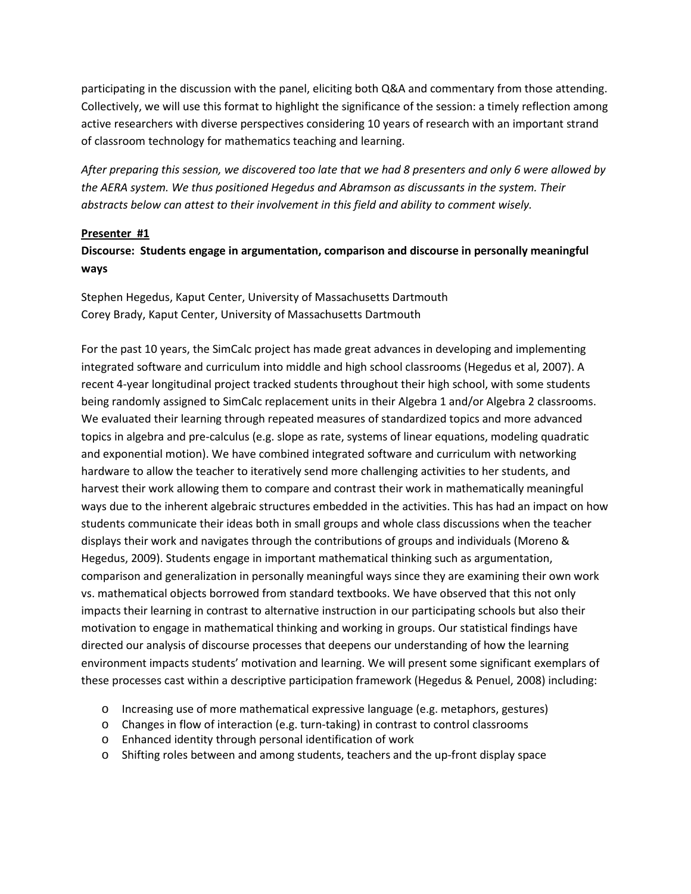participating in the discussion with the panel, eliciting both Q&A and commentary from those attending. Collectively, we will use this format to highlight the significance of the session: a timely reflection among active researchers with diverse perspectives considering 10 years of research with an important strand of classroom technology for mathematics teaching and learning.

*After preparing this session, we discovered too late that we had 8 presenters and only 6 were allowed by the AERA system. We thus positioned Hegedus and Abramson as discussants in the system. Their abstracts below can attest to their involvement in this field and ability to comment wisely.*

# **Presenter #1**

# **Discourse: Students engage in argumentation, comparison and discourse in personally meaningful ways**

Stephen Hegedus, Kaput Center, University of Massachusetts Dartmouth Corey Brady, Kaput Center, University of Massachusetts Dartmouth

For the past 10 years, the SimCalc project has made great advances in developing and implementing integrated software and curriculum into middle and high school classrooms (Hegedus et al, 2007). A recent 4-year longitudinal project tracked students throughout their high school, with some students being randomly assigned to SimCalc replacement units in their Algebra 1 and/or Algebra 2 classrooms. We evaluated their learning through repeated measures of standardized topics and more advanced topics in algebra and pre-calculus (e.g. slope as rate, systems of linear equations, modeling quadratic and exponential motion). We have combined integrated software and curriculum with networking hardware to allow the teacher to iteratively send more challenging activities to her students, and harvest their work allowing them to compare and contrast their work in mathematically meaningful ways due to the inherent algebraic structures embedded in the activities. This has had an impact on how students communicate their ideas both in small groups and whole class discussions when the teacher displays their work and navigates through the contributions of groups and individuals (Moreno & Hegedus, 2009). Students engage in important mathematical thinking such as argumentation, comparison and generalization in personally meaningful ways since they are examining their own work vs. mathematical objects borrowed from standard textbooks. We have observed that this not only impacts their learning in contrast to alternative instruction in our participating schools but also their motivation to engage in mathematical thinking and working in groups. Our statistical findings have directed our analysis of discourse processes that deepens our understanding of how the learning environment impacts students' motivation and learning. We will present some significant exemplars of these processes cast within a descriptive participation framework (Hegedus & Penuel, 2008) including:

- o Increasing use of more mathematical expressive language (e.g. metaphors, gestures)
- o Changes in flow of interaction (e.g. turn-taking) in contrast to control classrooms
- o Enhanced identity through personal identification of work
- o Shifting roles between and among students, teachers and the up-front display space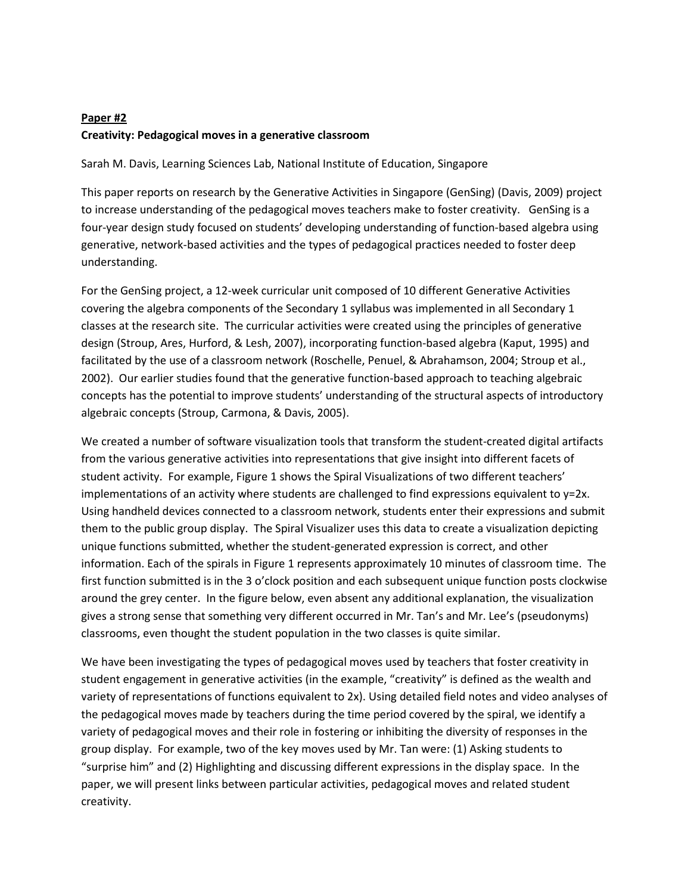# **Paper #2 Creativity: Pedagogical moves in a generative classroom**

Sarah M. Davis, Learning Sciences Lab, National Institute of Education, Singapore

This paper reports on research by the Generative Activities in Singapore (GenSing) (Davis, 2009) project to increase understanding of the pedagogical moves teachers make to foster creativity. GenSing is a four-year design study focused on students' developing understanding of function-based algebra using generative, network-based activities and the types of pedagogical practices needed to foster deep understanding.

For the GenSing project, a 12-week curricular unit composed of 10 different Generative Activities covering the algebra components of the Secondary 1 syllabus was implemented in all Secondary 1 classes at the research site. The curricular activities were created using the principles of generative design (Stroup, Ares, Hurford, & Lesh, 2007), incorporating function-based algebra (Kaput, 1995) and facilitated by the use of a classroom network (Roschelle, Penuel, & Abrahamson, 2004; Stroup et al., 2002). Our earlier studies found that the generative function-based approach to teaching algebraic concepts has the potential to improve students' understanding of the structural aspects of introductory algebraic concepts (Stroup, Carmona, & Davis, 2005).

We created a number of software visualization tools that transform the student-created digital artifacts from the various generative activities into representations that give insight into different facets of student activity. For example, Figure 1 shows the Spiral Visualizations of two different teachers' implementations of an activity where students are challenged to find expressions equivalent to y=2x. Using handheld devices connected to a classroom network, students enter their expressions and submit them to the public group display. The Spiral Visualizer uses this data to create a visualization depicting unique functions submitted, whether the student-generated expression is correct, and other information. Each of the spirals in Figure 1 represents approximately 10 minutes of classroom time. The first function submitted is in the 3 o'clock position and each subsequent unique function posts clockwise around the grey center. In the figure below, even absent any additional explanation, the visualization gives a strong sense that something very different occurred in Mr. Tan's and Mr. Lee's (pseudonyms) classrooms, even thought the student population in the two classes is quite similar.

We have been investigating the types of pedagogical moves used by teachers that foster creativity in student engagement in generative activities (in the example, "creativity" is defined as the wealth and variety of representations of functions equivalent to 2x). Using detailed field notes and video analyses of the pedagogical moves made by teachers during the time period covered by the spiral, we identify a variety of pedagogical moves and their role in fostering or inhibiting the diversity of responses in the group display. For example, two of the key moves used by Mr. Tan were: (1) Asking students to "surprise him" and (2) Highlighting and discussing different expressions in the display space. In the paper, we will present links between particular activities, pedagogical moves and related student creativity.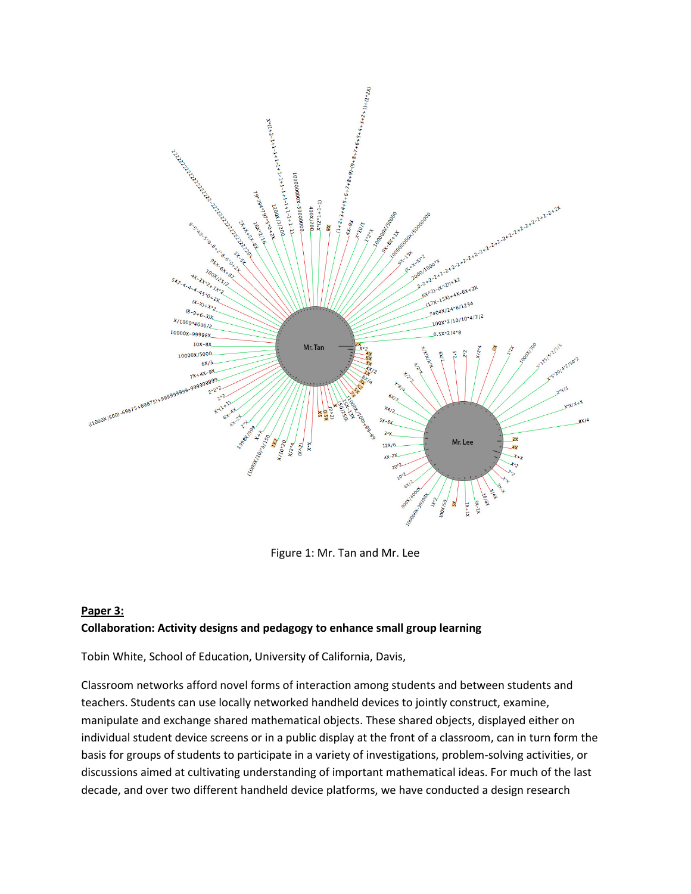

Figure 1: Mr. Tan and Mr. Lee

# **Paper 3: Collaboration: Activity designs and pedagogy to enhance small group learning**

Tobin White, School of Education, University of California, Davis,

Classroom networks afford novel forms of interaction among students and between students and teachers. Students can use locally networked handheld devices to jointly construct, examine, manipulate and exchange shared mathematical objects. These shared objects, displayed either on individual student device screens or in a public display at the front of a classroom, can in turn form the basis for groups of students to participate in a variety of investigations, problem-solving activities, or discussions aimed at cultivating understanding of important mathematical ideas. For much of the last decade, and over two different handheld device platforms, we have conducted a design research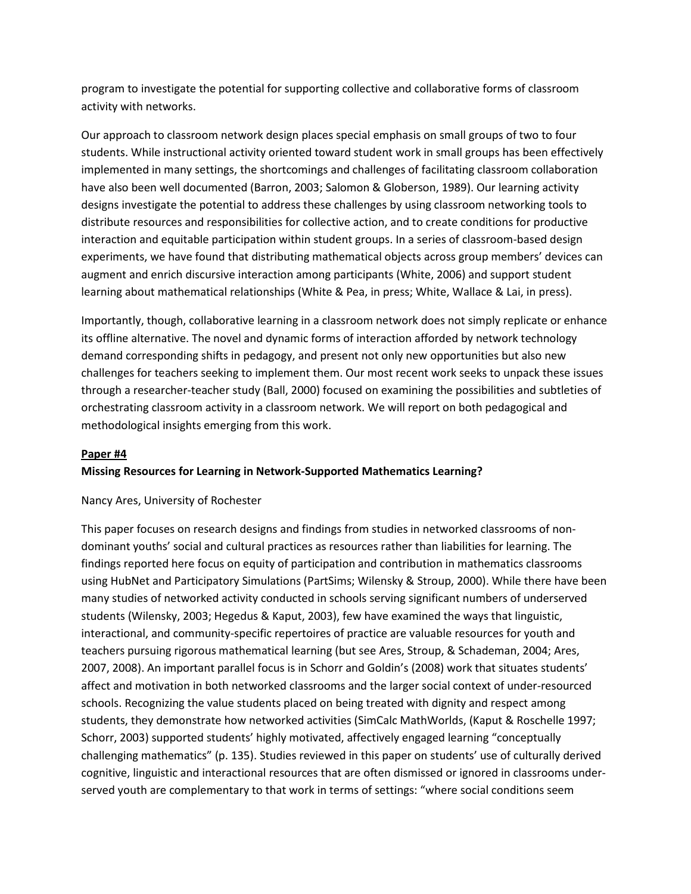program to investigate the potential for supporting collective and collaborative forms of classroom activity with networks.

Our approach to classroom network design places special emphasis on small groups of two to four students. While instructional activity oriented toward student work in small groups has been effectively implemented in many settings, the shortcomings and challenges of facilitating classroom collaboration have also been well documented (Barron, 2003; Salomon & Globerson, 1989). Our learning activity designs investigate the potential to address these challenges by using classroom networking tools to distribute resources and responsibilities for collective action, and to create conditions for productive interaction and equitable participation within student groups. In a series of classroom-based design experiments, we have found that distributing mathematical objects across group members' devices can augment and enrich discursive interaction among participants (White, 2006) and support student learning about mathematical relationships (White & Pea, in press; White, Wallace & Lai, in press).

Importantly, though, collaborative learning in a classroom network does not simply replicate or enhance its offline alternative. The novel and dynamic forms of interaction afforded by network technology demand corresponding shifts in pedagogy, and present not only new opportunities but also new challenges for teachers seeking to implement them. Our most recent work seeks to unpack these issues through a researcher-teacher study (Ball, 2000) focused on examining the possibilities and subtleties of orchestrating classroom activity in a classroom network. We will report on both pedagogical and methodological insights emerging from this work.

# **Paper #4**

# **Missing Resources for Learning in Network-Supported Mathematics Learning?**

## Nancy Ares, University of Rochester

This paper focuses on research designs and findings from studies in networked classrooms of nondominant youths' social and cultural practices as resources rather than liabilities for learning. The findings reported here focus on equity of participation and contribution in mathematics classrooms using HubNet and Participatory Simulations (PartSims; Wilensky & Stroup, 2000). While there have been many studies of networked activity conducted in schools serving significant numbers of underserved students (Wilensky, 2003; Hegedus & Kaput, 2003), few have examined the ways that linguistic, interactional, and community-specific repertoires of practice are valuable resources for youth and teachers pursuing rigorous mathematical learning (but see Ares, Stroup, & Schademan, 2004; Ares, 2007, 2008). An important parallel focus is in Schorr and Goldin's (2008) work that situates students' affect and motivation in both networked classrooms and the larger social context of under-resourced schools. Recognizing the value students placed on being treated with dignity and respect among students, they demonstrate how networked activities (SimCalc MathWorlds, (Kaput & Roschelle 1997; Schorr, 2003) supported students' highly motivated, affectively engaged learning "conceptually challenging mathematics" (p. 135). Studies reviewed in this paper on students' use of culturally derived cognitive, linguistic and interactional resources that are often dismissed or ignored in classrooms underserved youth are complementary to that work in terms of settings: "where social conditions seem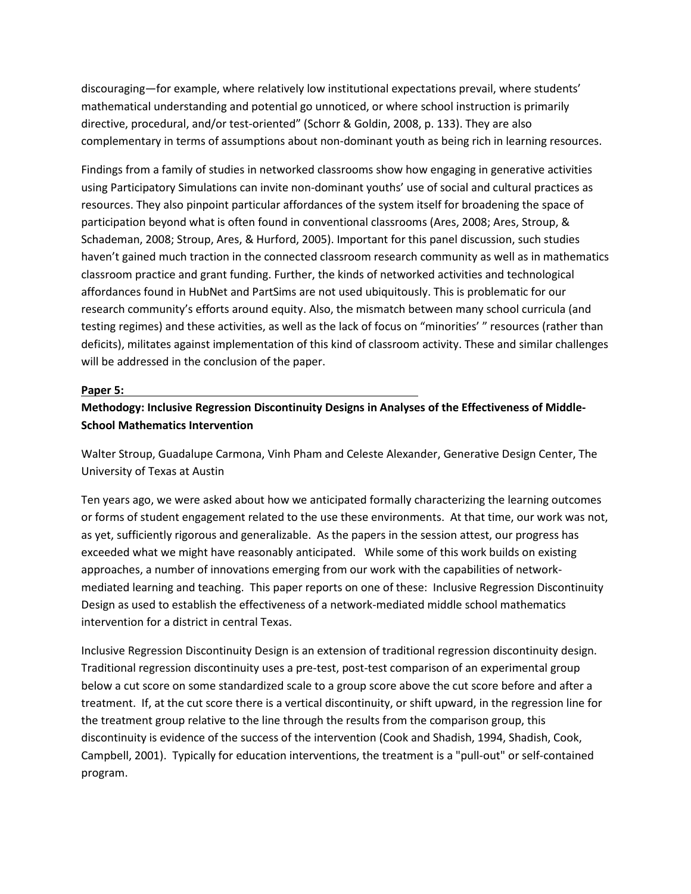discouraging—for example, where relatively low institutional expectations prevail, where students' mathematical understanding and potential go unnoticed, or where school instruction is primarily directive, procedural, and/or test-oriented" (Schorr & Goldin, 2008, p. 133). They are also complementary in terms of assumptions about non-dominant youth as being rich in learning resources.

Findings from a family of studies in networked classrooms show how engaging in generative activities using Participatory Simulations can invite non-dominant youths' use of social and cultural practices as resources. They also pinpoint particular affordances of the system itself for broadening the space of participation beyond what is often found in conventional classrooms (Ares, 2008; Ares, Stroup, & Schademan, 2008; Stroup, Ares, & Hurford, 2005). Important for this panel discussion, such studies haven't gained much traction in the connected classroom research community as well as in mathematics classroom practice and grant funding. Further, the kinds of networked activities and technological affordances found in HubNet and PartSims are not used ubiquitously. This is problematic for our research community's efforts around equity. Also, the mismatch between many school curricula (and testing regimes) and these activities, as well as the lack of focus on "minorities' " resources (rather than deficits), militates against implementation of this kind of classroom activity. These and similar challenges will be addressed in the conclusion of the paper.

#### **Paper 5:**

# **Methodogy: Inclusive Regression Discontinuity Designs in Analyses of the Effectiveness of Middle-School Mathematics Intervention**

Walter Stroup, Guadalupe Carmona, Vinh Pham and Celeste Alexander, Generative Design Center, The University of Texas at Austin

Ten years ago, we were asked about how we anticipated formally characterizing the learning outcomes or forms of student engagement related to the use these environments. At that time, our work was not, as yet, sufficiently rigorous and generalizable. As the papers in the session attest, our progress has exceeded what we might have reasonably anticipated. While some of this work builds on existing approaches, a number of innovations emerging from our work with the capabilities of networkmediated learning and teaching. This paper reports on one of these: Inclusive Regression Discontinuity Design as used to establish the effectiveness of a network-mediated middle school mathematics intervention for a district in central Texas.

Inclusive Regression Discontinuity Design is an extension of traditional regression discontinuity design. Traditional regression discontinuity uses a pre-test, post-test comparison of an experimental group below a cut score on some standardized scale to a group score above the cut score before and after a treatment. If, at the cut score there is a vertical discontinuity, or shift upward, in the regression line for the treatment group relative to the line through the results from the comparison group, this discontinuity is evidence of the success of the intervention (Cook and Shadish, 1994, Shadish, Cook, Campbell, 2001). Typically for education interventions, the treatment is a "pull-out" or self-contained program.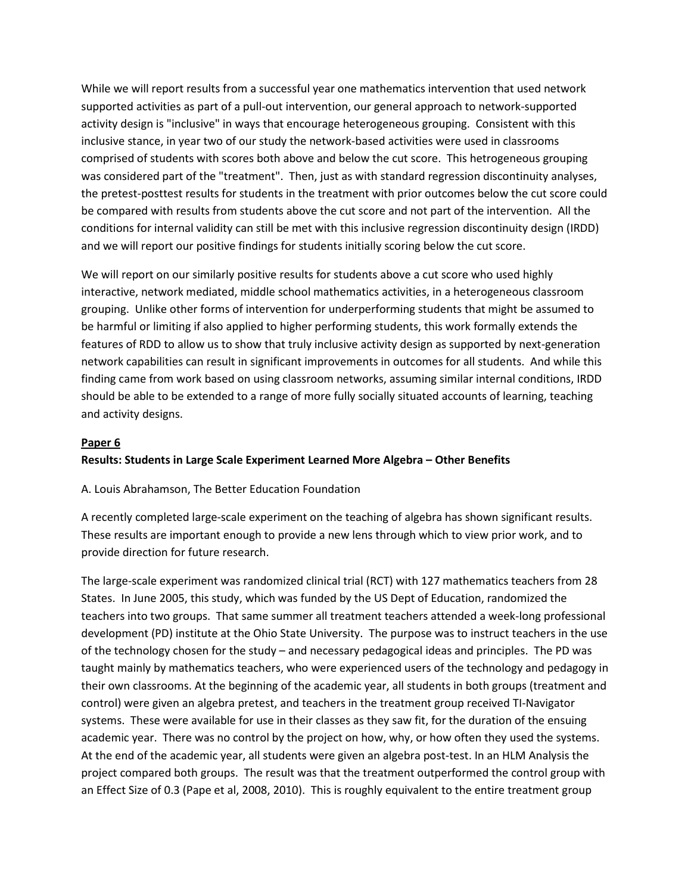While we will report results from a successful year one mathematics intervention that used network supported activities as part of a pull-out intervention, our general approach to network-supported activity design is "inclusive" in ways that encourage heterogeneous grouping. Consistent with this inclusive stance, in year two of our study the network-based activities were used in classrooms comprised of students with scores both above and below the cut score. This hetrogeneous grouping was considered part of the "treatment". Then, just as with standard regression discontinuity analyses, the pretest-posttest results for students in the treatment with prior outcomes below the cut score could be compared with results from students above the cut score and not part of the intervention. All the conditions for internal validity can still be met with this inclusive regression discontinuity design (IRDD) and we will report our positive findings for students initially scoring below the cut score.

We will report on our similarly positive results for students above a cut score who used highly interactive, network mediated, middle school mathematics activities, in a heterogeneous classroom grouping. Unlike other forms of intervention for underperforming students that might be assumed to be harmful or limiting if also applied to higher performing students, this work formally extends the features of RDD to allow us to show that truly inclusive activity design as supported by next-generation network capabilities can result in significant improvements in outcomes for all students. And while this finding came from work based on using classroom networks, assuming similar internal conditions, IRDD should be able to be extended to a range of more fully socially situated accounts of learning, teaching and activity designs.

#### **Paper 6**

## **Results: Students in Large Scale Experiment Learned More Algebra – Other Benefits**

#### A. Louis Abrahamson, The Better Education Foundation

A recently completed large-scale experiment on the teaching of algebra has shown significant results. These results are important enough to provide a new lens through which to view prior work, and to provide direction for future research.

The large-scale experiment was randomized clinical trial (RCT) with 127 mathematics teachers from 28 States. In June 2005, this study, which was funded by the US Dept of Education, randomized the teachers into two groups. That same summer all treatment teachers attended a week-long professional development (PD) institute at the Ohio State University. The purpose was to instruct teachers in the use of the technology chosen for the study – and necessary pedagogical ideas and principles. The PD was taught mainly by mathematics teachers, who were experienced users of the technology and pedagogy in their own classrooms. At the beginning of the academic year, all students in both groups (treatment and control) were given an algebra pretest, and teachers in the treatment group received TI-Navigator systems. These were available for use in their classes as they saw fit, for the duration of the ensuing academic year. There was no control by the project on how, why, or how often they used the systems. At the end of the academic year, all students were given an algebra post-test. In an HLM Analysis the project compared both groups. The result was that the treatment outperformed the control group with an Effect Size of 0.3 (Pape et al, 2008, 2010). This is roughly equivalent to the entire treatment group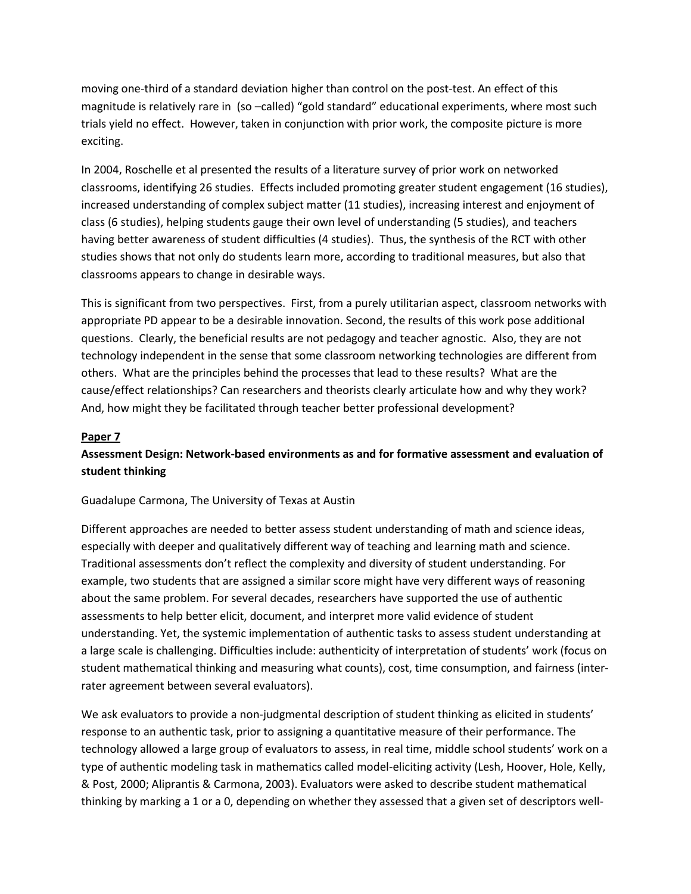moving one-third of a standard deviation higher than control on the post-test. An effect of this magnitude is relatively rare in (so –called) "gold standard" educational experiments, where most such trials yield no effect. However, taken in conjunction with prior work, the composite picture is more exciting.

In 2004, Roschelle et al presented the results of a literature survey of prior work on networked classrooms, identifying 26 studies. Effects included promoting greater student engagement (16 studies), increased understanding of complex subject matter (11 studies), increasing interest and enjoyment of class (6 studies), helping students gauge their own level of understanding (5 studies), and teachers having better awareness of student difficulties (4 studies). Thus, the synthesis of the RCT with other studies shows that not only do students learn more, according to traditional measures, but also that classrooms appears to change in desirable ways.

This is significant from two perspectives. First, from a purely utilitarian aspect, classroom networks with appropriate PD appear to be a desirable innovation. Second, the results of this work pose additional questions. Clearly, the beneficial results are not pedagogy and teacher agnostic. Also, they are not technology independent in the sense that some classroom networking technologies are different from others. What are the principles behind the processes that lead to these results? What are the cause/effect relationships? Can researchers and theorists clearly articulate how and why they work? And, how might they be facilitated through teacher better professional development?

## **Paper 7**

# **Assessment Design: Network-based environments as and for formative assessment and evaluation of student thinking**

## Guadalupe Carmona, The University of Texas at Austin

Different approaches are needed to better assess student understanding of math and science ideas, especially with deeper and qualitatively different way of teaching and learning math and science. Traditional assessments don't reflect the complexity and diversity of student understanding. For example, two students that are assigned a similar score might have very different ways of reasoning about the same problem. For several decades, researchers have supported the use of authentic assessments to help better elicit, document, and interpret more valid evidence of student understanding. Yet, the systemic implementation of authentic tasks to assess student understanding at a large scale is challenging. Difficulties include: authenticity of interpretation of students' work (focus on student mathematical thinking and measuring what counts), cost, time consumption, and fairness (interrater agreement between several evaluators).

We ask evaluators to provide a non-judgmental description of student thinking as elicited in students' response to an authentic task, prior to assigning a quantitative measure of their performance. The technology allowed a large group of evaluators to assess, in real time, middle school students' work on a type of authentic modeling task in mathematics called model-eliciting activity (Lesh, Hoover, Hole, Kelly, & Post, 2000; Aliprantis & Carmona, 2003). Evaluators were asked to describe student mathematical thinking by marking a 1 or a 0, depending on whether they assessed that a given set of descriptors well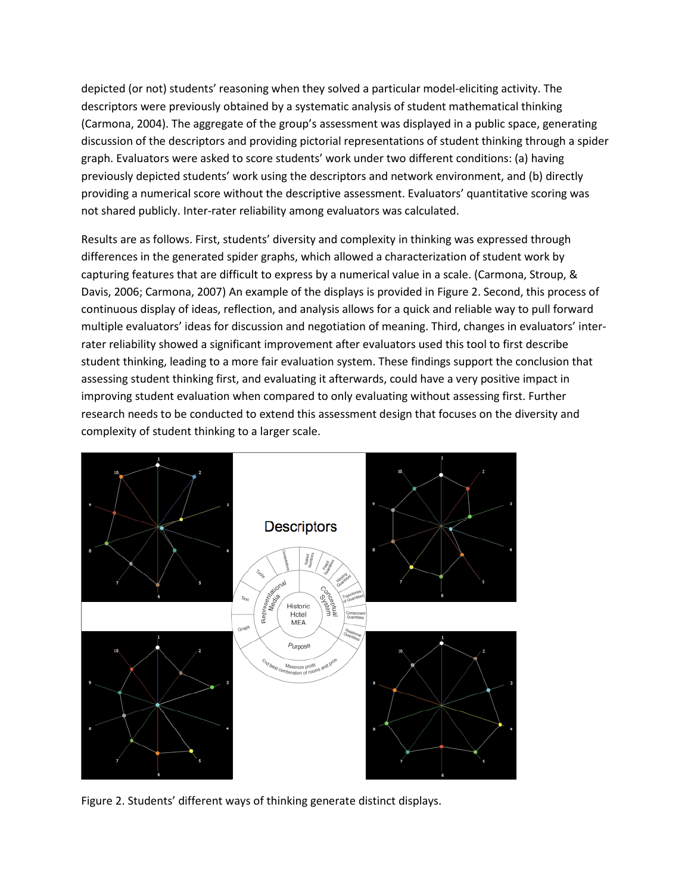depicted (or not) students' reasoning when they solved a particular model-eliciting activity. The descriptors were previously obtained by a systematic analysis of student mathematical thinking (Carmona, 2004). The aggregate of the group's assessment was displayed in a public space, generating discussion of the descriptors and providing pictorial representations of student thinking through a spider graph. Evaluators were asked to score students' work under two different conditions: (a) having previously depicted students' work using the descriptors and network environment, and (b) directly providing a numerical score without the descriptive assessment. Evaluators' quantitative scoring was not shared publicly. Inter-rater reliability among evaluators was calculated.

Results are as follows. First, students' diversity and complexity in thinking was expressed through differences in the generated spider graphs, which allowed a characterization of student work by capturing features that are difficult to express by a numerical value in a scale. (Carmona, Stroup, & Davis, 2006; Carmona, 2007) An example of the displays is provided in Figure 2. Second, this process of continuous display of ideas, reflection, and analysis allows for a quick and reliable way to pull forward multiple evaluators' ideas for discussion and negotiation of meaning. Third, changes in evaluators' interrater reliability showed a significant improvement after evaluators used this tool to first describe student thinking, leading to a more fair evaluation system. These findings support the conclusion that assessing student thinking first, and evaluating it afterwards, could have a very positive impact in improving student evaluation when compared to only evaluating without assessing first. Further research needs to be conducted to extend this assessment design that focuses on the diversity and complexity of student thinking to a larger scale.



Figure 2. Students' different ways of thinking generate distinct displays.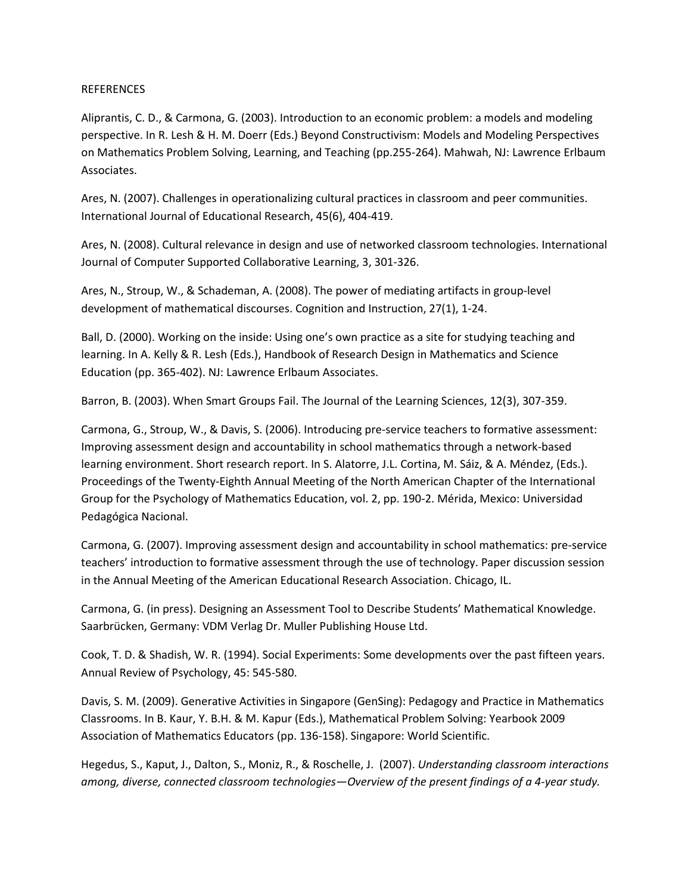#### REFERENCES

Aliprantis, C. D., & Carmona, G. (2003). Introduction to an economic problem: a models and modeling perspective. In R. Lesh & H. M. Doerr (Eds.) Beyond Constructivism: Models and Modeling Perspectives on Mathematics Problem Solving, Learning, and Teaching (pp.255-264). Mahwah, NJ: Lawrence Erlbaum Associates.

Ares, N. (2007). Challenges in operationalizing cultural practices in classroom and peer communities. International Journal of Educational Research, 45(6), 404-419.

Ares, N. (2008). Cultural relevance in design and use of networked classroom technologies. International Journal of Computer Supported Collaborative Learning, 3, 301-326.

Ares, N., Stroup, W., & Schademan, A. (2008). The power of mediating artifacts in group-level development of mathematical discourses. Cognition and Instruction, 27(1), 1-24.

Ball, D. (2000). Working on the inside: Using one's own practice as a site for studying teaching and learning. In A. Kelly & R. Lesh (Eds.), Handbook of Research Design in Mathematics and Science Education (pp. 365-402). NJ: Lawrence Erlbaum Associates.

Barron, B. (2003). When Smart Groups Fail. The Journal of the Learning Sciences, 12(3), 307-359.

Carmona, G., Stroup, W., & Davis, S. (2006). Introducing pre-service teachers to formative assessment: Improving assessment design and accountability in school mathematics through a network-based learning environment. Short research report. In S. Alatorre, J.L. Cortina, M. Sáiz, & A. Méndez, (Eds.). Proceedings of the Twenty-Eighth Annual Meeting of the North American Chapter of the International Group for the Psychology of Mathematics Education, vol. 2, pp. 190-2. Mérida, Mexico: Universidad Pedagógica Nacional.

Carmona, G. (2007). Improving assessment design and accountability in school mathematics: pre-service teachers' introduction to formative assessment through the use of technology. Paper discussion session in the Annual Meeting of the American Educational Research Association. Chicago, IL.

Carmona, G. (in press). Designing an Assessment Tool to Describe Students' Mathematical Knowledge. Saarbrücken, Germany: VDM Verlag Dr. Muller Publishing House Ltd.

Cook, T. D. & Shadish, W. R. (1994). Social Experiments: Some developments over the past fifteen years. Annual Review of Psychology, 45: 545-580.

Davis, S. M. (2009). Generative Activities in Singapore (GenSing): Pedagogy and Practice in Mathematics Classrooms. In B. Kaur, Y. B.H. & M. Kapur (Eds.), Mathematical Problem Solving: Yearbook 2009 Association of Mathematics Educators (pp. 136-158). Singapore: World Scientific.

Hegedus, S., Kaput, J., Dalton, S., Moniz, R., & Roschelle, J. (2007). *Understanding classroom interactions among, diverse, connected classroom technologies—Overview of the present findings of a 4-year study.*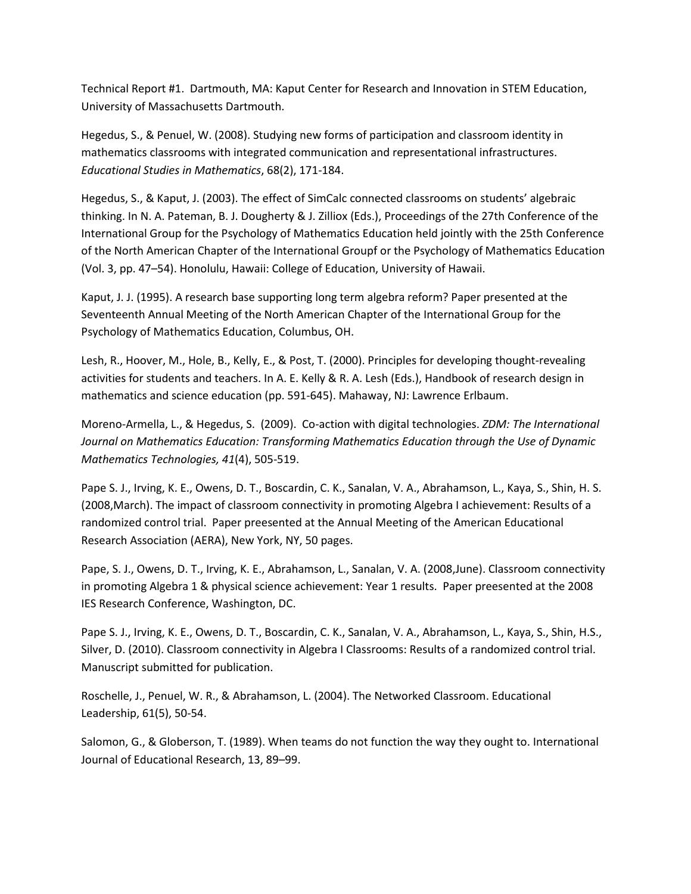Technical Report #1. Dartmouth, MA: Kaput Center for Research and Innovation in STEM Education, University of Massachusetts Dartmouth.

Hegedus, S., & Penuel, W. (2008). Studying new forms of participation and classroom identity in mathematics classrooms with integrated communication and representational infrastructures. *Educational Studies in Mathematics*, 68(2), 171-184.

Hegedus, S., & Kaput, J. (2003). The effect of SimCalc connected classrooms on students' algebraic thinking. In N. A. Pateman, B. J. Dougherty & J. Zilliox (Eds.), Proceedings of the 27th Conference of the International Group for the Psychology of Mathematics Education held jointly with the 25th Conference of the North American Chapter of the International Groupf or the Psychology of Mathematics Education (Vol. 3, pp. 47–54). Honolulu, Hawaii: College of Education, University of Hawaii.

Kaput, J. J. (1995). A research base supporting long term algebra reform? Paper presented at the Seventeenth Annual Meeting of the North American Chapter of the International Group for the Psychology of Mathematics Education, Columbus, OH.

Lesh, R., Hoover, M., Hole, B., Kelly, E., & Post, T. (2000). Principles for developing thought-revealing activities for students and teachers. In A. E. Kelly & R. A. Lesh (Eds.), Handbook of research design in mathematics and science education (pp. 591-645). Mahaway, NJ: Lawrence Erlbaum.

Moreno-Armella, L., & Hegedus, S. (2009). Co-action with digital technologies. *ZDM: The International Journal on Mathematics Education: Transforming Mathematics Education through the Use of Dynamic Mathematics Technologies, 41*(4), 505-519.

Pape S. J., Irving, K. E., Owens, D. T., Boscardin, C. K., Sanalan, V. A., Abrahamson, L., Kaya, S., Shin, H. S. (2008,March). The impact of classroom connectivity in promoting Algebra I achievement: Results of a randomized control trial. Paper preesented at the Annual Meeting of the American Educational Research Association (AERA), New York, NY, 50 pages.

Pape, S. J., Owens, D. T., Irving, K. E., Abrahamson, L., Sanalan, V. A. (2008,June). Classroom connectivity in promoting Algebra 1 & physical science achievement: Year 1 results. Paper preesented at the 2008 IES Research Conference, Washington, DC.

Pape S. J., Irving, K. E., Owens, D. T., Boscardin, C. K., Sanalan, V. A., Abrahamson, L., Kaya, S., Shin, H.S., Silver, D. (2010). Classroom connectivity in Algebra I Classrooms: Results of a randomized control trial. Manuscript submitted for publication.

Roschelle, J., Penuel, W. R., & Abrahamson, L. (2004). The Networked Classroom. Educational Leadership, 61(5), 50-54.

Salomon, G., & Globerson, T. (1989). When teams do not function the way they ought to. International Journal of Educational Research, 13, 89–99.